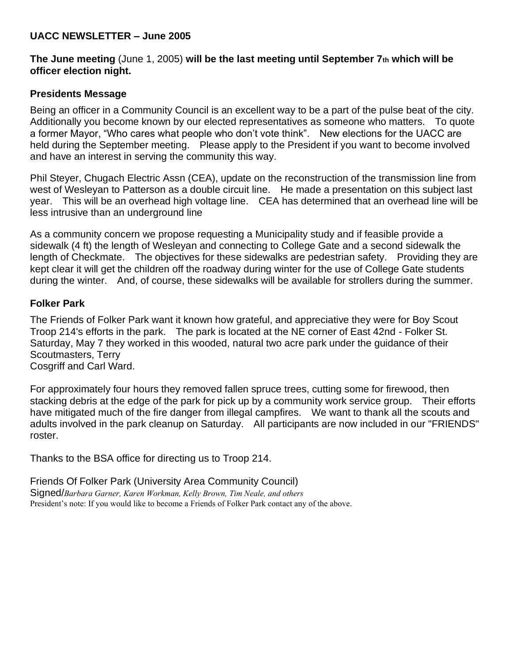# **UACC NEWSLETTER – June 2005**

## **The June meeting** (June 1, 2005) **will be the last meeting until September 7th which will be officer election night.**

## **Presidents Message**

Being an officer in a Community Council is an excellent way to be a part of the pulse beat of the city. Additionally you become known by our elected representatives as someone who matters. To quote a former Mayor, "Who cares what people who don't vote think". New elections for the UACC are held during the September meeting. Please apply to the President if you want to become involved and have an interest in serving the community this way.

Phil Steyer, Chugach Electric Assn (CEA), update on the reconstruction of the transmission line from west of Wesleyan to Patterson as a double circuit line. He made a presentation on this subject last year. This will be an overhead high voltage line. CEA has determined that an overhead line will be less intrusive than an underground line

As a community concern we propose requesting a Municipality study and if feasible provide a sidewalk (4 ft) the length of Wesleyan and connecting to College Gate and a second sidewalk the length of Checkmate. The objectives for these sidewalks are pedestrian safety. Providing they are kept clear it will get the children off the roadway during winter for the use of College Gate students during the winter. And, of course, these sidewalks will be available for strollers during the summer.

## **Folker Park**

The Friends of Folker Park want it known how grateful, and appreciative they were for Boy Scout Troop 214's efforts in the park. The park is located at the NE corner of East 42nd - Folker St. Saturday, May 7 they worked in this wooded, natural two acre park under the guidance of their Scoutmasters, Terry

Cosgriff and Carl Ward.

For approximately four hours they removed fallen spruce trees, cutting some for firewood, then stacking debris at the edge of the park for pick up by a community work service group. Their efforts have mitigated much of the fire danger from illegal campfires. We want to thank all the scouts and adults involved in the park cleanup on Saturday. All participants are now included in our "FRIENDS" roster.

Thanks to the BSA office for directing us to Troop 214.

Friends Of Folker Park (University Area Community Council) Signed/*Barbara Garner, Karen Workman, Kelly Brown, Tim Neale, and others* President's note: If you would like to become a Friends of Folker Park contact any of the above.